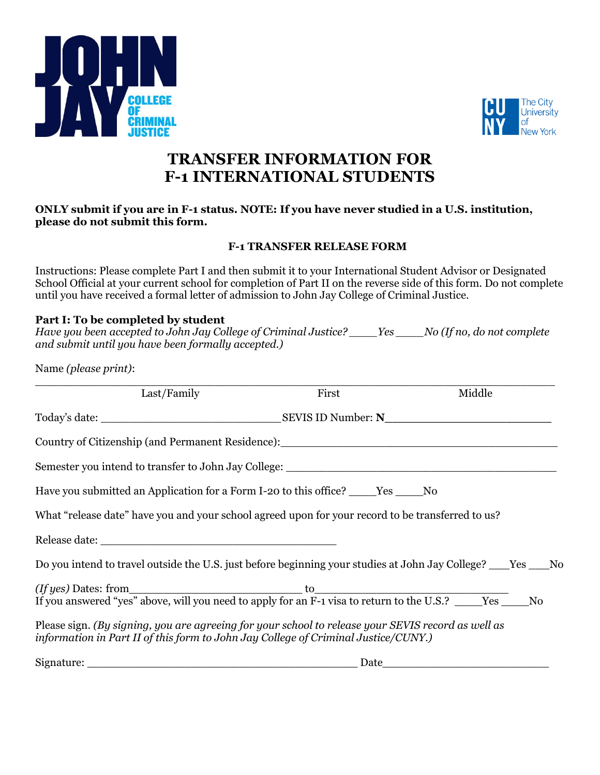



# **TRANSFER INFORMATION FOR F-1 INTERNATIONAL STUDENTS**

#### **ONLY submit if you are in F-1 status. NOTE: If you have never studied in a U.S. institution, please do not submit this form.**

### **F-1 TRANSFER RELEASE FORM**

Instructions: Please complete Part I and then submit it to your International Student Advisor or Designated School Official at your current school for completion of Part II on the reverse side of this form. Do not complete until you have received a formal letter of admission to John Jay College of Criminal Justice.

## **Part I: To be completed by student**

*Have you been accepted to John Jay College of Criminal Justice? \_\_\_\_Yes \_\_\_\_No (If no, do not complete and submit until you have been formally accepted.)*

Name *(please print)*:

| Last/Family                                                                                                                                                                              | First | Middle                                                                                                                |
|------------------------------------------------------------------------------------------------------------------------------------------------------------------------------------------|-------|-----------------------------------------------------------------------------------------------------------------------|
|                                                                                                                                                                                          |       |                                                                                                                       |
|                                                                                                                                                                                          |       |                                                                                                                       |
|                                                                                                                                                                                          |       |                                                                                                                       |
| Have you submitted an Application for a Form I-20 to this office? ______Yes ______No                                                                                                     |       |                                                                                                                       |
| What "release date" have you and your school agreed upon for your record to be transferred to us?                                                                                        |       |                                                                                                                       |
|                                                                                                                                                                                          |       |                                                                                                                       |
| Do you intend to travel outside the U.S. just before beginning your studies at John Jay College? ___Yes ___No                                                                            |       |                                                                                                                       |
|                                                                                                                                                                                          |       |                                                                                                                       |
| Please sign. (By signing, you are agreeing for your school to release your SEVIS record as well as<br>information in Part II of this form to John Jay College of Criminal Justice/CUNY.) |       |                                                                                                                       |
|                                                                                                                                                                                          | Date  | <u> 1965 - Johann John Stone, markin amerikan basar dan berkembang dan bagi dalam basar dan basar dan bagi dalam </u> |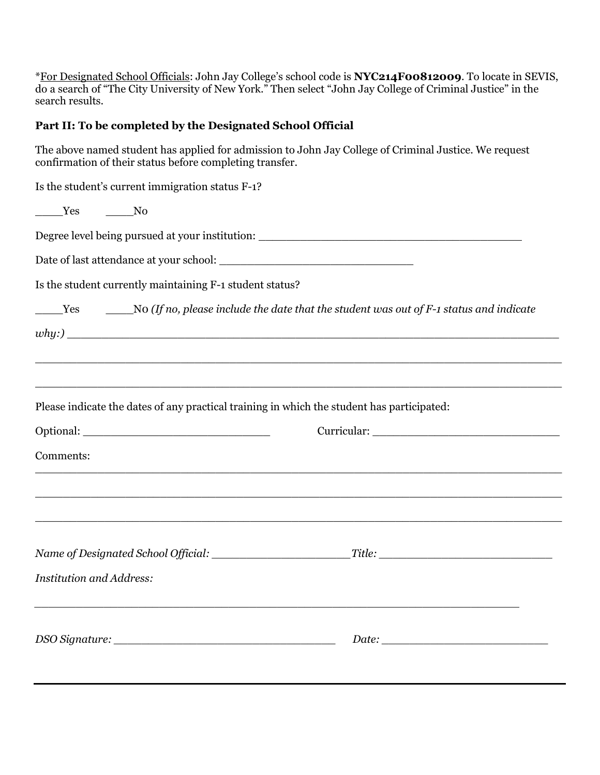\*For Designated School Officials: John Jay College's school code is **NYC214F00812009**. To locate in SEVIS, do a search of "The City University of New York." Then select "John Jay College of Criminal Justice" in the search results.

## **Part II: To be completed by the Designated School Official**

The above named student has applied for admission to John Jay College of Criminal Justice. We request confirmation of their status before completing transfer.

| No Tres<br>Degree level being pursued at your institution: _________________________________                                                                                                                                                                                                                                                                                                 |  |  |
|----------------------------------------------------------------------------------------------------------------------------------------------------------------------------------------------------------------------------------------------------------------------------------------------------------------------------------------------------------------------------------------------|--|--|
|                                                                                                                                                                                                                                                                                                                                                                                              |  |  |
|                                                                                                                                                                                                                                                                                                                                                                                              |  |  |
|                                                                                                                                                                                                                                                                                                                                                                                              |  |  |
| Is the student currently maintaining F-1 student status?<br>$\frac{1}{1}$ $\frac{1}{1}$ $\frac{1}{1}$ $\frac{1}{1}$ $\frac{1}{1}$ $\frac{1}{1}$ $\frac{1}{1}$ $\frac{1}{1}$ $\frac{1}{1}$ $\frac{1}{1}$ $\frac{1}{1}$ $\frac{1}{1}$ $\frac{1}{1}$ $\frac{1}{1}$ $\frac{1}{1}$ $\frac{1}{1}$ $\frac{1}{1}$ $\frac{1}{1}$ $\frac{1}{1}$ $\frac{1}{1}$ $\frac{1}{1}$ $\frac{1}{1}$ $\frac{1}{1$ |  |  |
|                                                                                                                                                                                                                                                                                                                                                                                              |  |  |
| ,我们也不能在这里的时候,我们也不能在这里的时候,我们也不能会在这里,我们也不能会不能会不能会不能会不能会不能会。""我们,我们也不能会不能会不能会不能会不能会                                                                                                                                                                                                                                                                                                             |  |  |
| Please indicate the dates of any practical training in which the student has participated:                                                                                                                                                                                                                                                                                                   |  |  |
|                                                                                                                                                                                                                                                                                                                                                                                              |  |  |
| Comments:<br>,我们也不能在这里,我们也不能不能不能不能不能不能不能不能不能不能不能不能不能不能不能不能。""我们不能不能不能不能不能不能不能不能不能不能不能不能不能不能不能                                                                                                                                                                                                                                                                                                |  |  |
| ,我们也不能会在这里,我们的人们就会在这里,我们的人们就会不能会在这里,我们的人们就会不能会不能会。""我们的人们,我们也不能会不能会不能会不能会不能会不能会不                                                                                                                                                                                                                                                                                                             |  |  |
| ,我们也不能在这里的时候,我们也不能在这里的时候,我们也不能会不能会不能会不能会不能会不能会不能会。<br>第2012章 我们的时候,我们的时候,我们的时候,我们的时候,我们的时候,我们的时候,我们的时候,我们的时候,我们的时候,我们的时候,我们的时候,我们的时候,我                                                                                                                                                                                                                                                       |  |  |
|                                                                                                                                                                                                                                                                                                                                                                                              |  |  |
| <b>Institution and Address:</b>                                                                                                                                                                                                                                                                                                                                                              |  |  |
|                                                                                                                                                                                                                                                                                                                                                                                              |  |  |